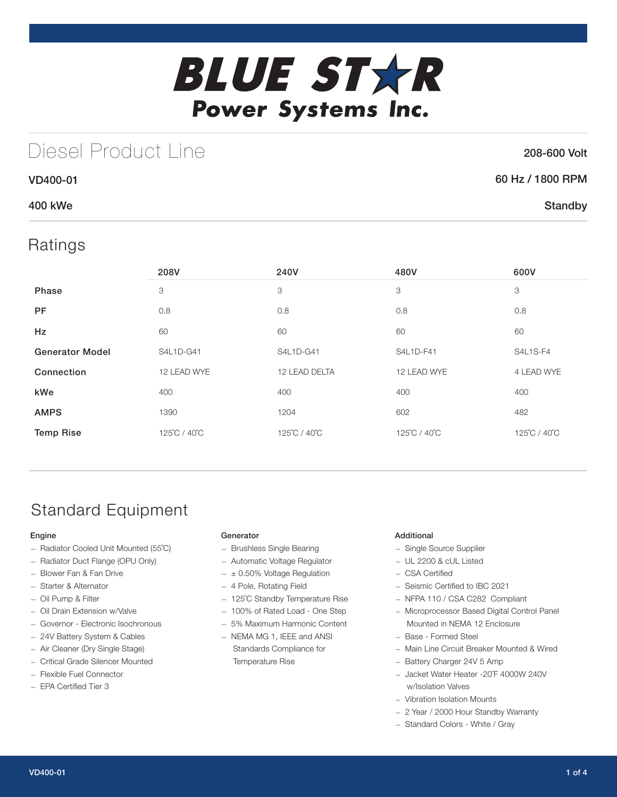

## Diesel Product Line

### 208-600 Volt

**Standby** 

|--|

### 400 kWe

VD400-01

### Ratings

|                        | 208V         | 240V          | 480V         | 600V            |
|------------------------|--------------|---------------|--------------|-----------------|
| Phase                  | 3            | 3             | 3            | 3               |
| <b>PF</b>              | 0.8          | 0.8           | 0.8          | 0.8             |
| <b>Hz</b>              | 60           | 60            | 60           | 60              |
| <b>Generator Model</b> | S4L1D-G41    | S4L1D-G41     | S4L1D-F41    | <b>S4L1S-F4</b> |
| Connection             | 12 LEAD WYE  | 12 LEAD DELTA | 12 LEAD WYE  | 4 LEAD WYE      |
| kWe                    | 400          | 400           | 400          | 400             |
| <b>AMPS</b>            | 1390         | 1204          | 602          | 482             |
| <b>Temp Rise</b>       | 125°C / 40°C | 125°C / 40°C  | 125°C / 40°C | 125°C / 40°C    |

## Standard Equipment

### Engine

- Radiator Cooled Unit Mounted (55˚C)
- Radiator Duct Flange (OPU Only)
- Blower Fan & Fan Drive
- Starter & Alternator
- Oil Pump & Filter
- Oil Drain Extension w/Valve
- Governor Electronic Isochronous
- 24V Battery System & Cables
- Air Cleaner (Dry Single Stage)
- Critical Grade Silencer Mounted
- Flexible Fuel Connector
- EPA Certified Tier 3

### **Generator**

- Brushless Single Bearing
- Automatic Voltage Regulator
- $\pm$  0.50% Voltage Regulation
- 4 Pole, Rotating Field
- 125˚C Standby Temperature Rise
- 100% of Rated Load One Step
- 5% Maximum Harmonic Content
- NEMA MG 1, IEEE and ANSI Standards Compliance for Temperature Rise

### Additional

- Single Source Supplier
- UL 2200 & cUL Listed
- CSA Certified
- Seismic Certified to IBC 2021
- NFPA 110 / CSA C282 Compliant
- Microprocessor Based Digital Control Panel Mounted in NEMA 12 Enclosure
- Base Formed Steel
- Main Line Circuit Breaker Mounted & Wired
- Battery Charger 24V 5 Amp
- Jacket Water Heater -20˚F 4000W 240V w/Isolation Valves
- Vibration Isolation Mounts
- 2 Year / 2000 Hour Standby Warranty
- Standard Colors White / Gray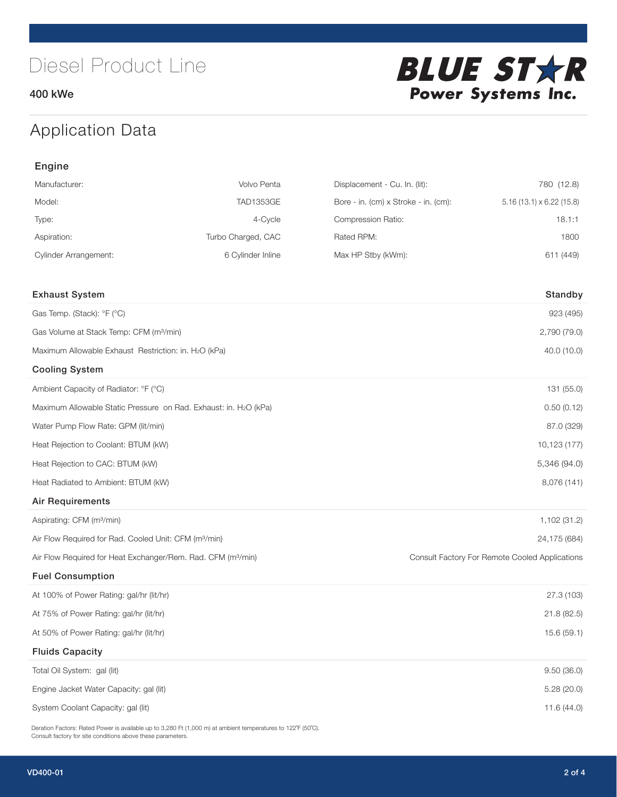400 kWe



## Application Data

| Engine                                                                   |                    |                                      |                                                |  |  |
|--------------------------------------------------------------------------|--------------------|--------------------------------------|------------------------------------------------|--|--|
| Manufacturer:                                                            | Volvo Penta        | Displacement - Cu. In. (lit):        | 780 (12.8)                                     |  |  |
| Model:                                                                   | <b>TAD1353GE</b>   | Bore - in. (cm) x Stroke - in. (cm): | $5.16(13.1) \times 6.22(15.8)$                 |  |  |
| Type:                                                                    | 4-Cycle            | Compression Ratio:                   | 18.1:1                                         |  |  |
| Aspiration:                                                              | Turbo Charged, CAC | Rated RPM:                           | 1800                                           |  |  |
| <b>Cylinder Arrangement:</b>                                             | 6 Cylinder Inline  | Max HP Stby (kWm):                   | 611 (449)                                      |  |  |
| <b>Exhaust System</b>                                                    |                    |                                      | Standby                                        |  |  |
| Gas Temp. (Stack): °F (°C)                                               |                    |                                      | 923 (495)                                      |  |  |
| Gas Volume at Stack Temp: CFM (m <sup>3</sup> /min)                      |                    |                                      | 2,790 (79.0)                                   |  |  |
| Maximum Allowable Exhaust Restriction: in. H2O (kPa)                     |                    |                                      | 40.0 (10.0)                                    |  |  |
| <b>Cooling System</b>                                                    |                    |                                      |                                                |  |  |
| Ambient Capacity of Radiator: °F (°C)                                    |                    |                                      | 131 (55.0)                                     |  |  |
| Maximum Allowable Static Pressure on Rad. Exhaust: in. H2O (kPa)         |                    |                                      | 0.50(0.12)                                     |  |  |
| Water Pump Flow Rate: GPM (lit/min)                                      |                    |                                      | 87.0 (329)                                     |  |  |
| Heat Rejection to Coolant: BTUM (kW)                                     |                    |                                      | 10,123 (177)                                   |  |  |
| Heat Rejection to CAC: BTUM (kW)                                         |                    |                                      | 5,346 (94.0)                                   |  |  |
| Heat Radiated to Ambient: BTUM (kW)                                      |                    |                                      | 8,076 (141)                                    |  |  |
| <b>Air Requirements</b>                                                  |                    |                                      |                                                |  |  |
| Aspirating: CFM (m <sup>3</sup> /min)                                    |                    |                                      | 1,102 (31.2)                                   |  |  |
| Air Flow Required for Rad. Cooled Unit: CFM (m <sup>3</sup> /min)        |                    |                                      | 24,175 (684)                                   |  |  |
| Air Flow Required for Heat Exchanger/Rem. Rad. CFM (m <sup>3</sup> /min) |                    |                                      | Consult Factory For Remote Cooled Applications |  |  |
| <b>Fuel Consumption</b>                                                  |                    |                                      |                                                |  |  |
| At 100% of Power Rating: gal/hr (lit/hr)                                 |                    |                                      | 27.3 (103)                                     |  |  |
| At 75% of Power Rating: gal/hr (lit/hr)                                  |                    |                                      | 21.8 (82.5)                                    |  |  |
| At 50% of Power Rating: gal/hr (lit/hr)                                  |                    |                                      | 15.6 (59.1)                                    |  |  |
| <b>Fluids Capacity</b>                                                   |                    |                                      |                                                |  |  |
| Total Oil System: gal (lit)                                              |                    |                                      | 9.50(36.0)                                     |  |  |
| Engine Jacket Water Capacity: gal (lit)                                  |                    |                                      | 5.28 (20.0)                                    |  |  |
| System Coolant Capacity: gal (lit)                                       |                    |                                      | 11.6 (44.0)                                    |  |  |

Deration Factors: Rated Power is available up to 3,280 Ft (1,000 m) at ambient temperatures to 122°F (50°C). Consult factory for site conditions above these parameters.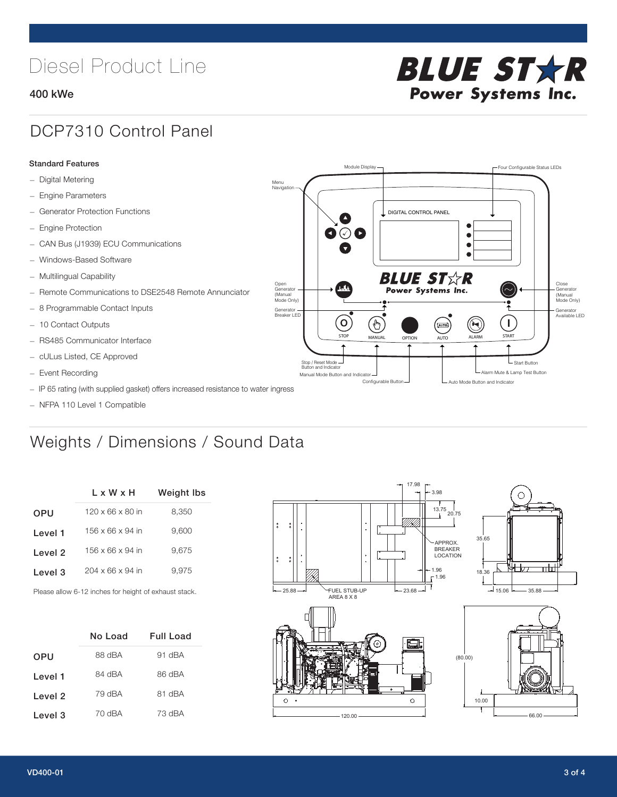# Diesel Product Line

### 400 kWe



## DCP7310 Control Panel

#### Standard Features

- Digital Metering
- Engine Parameters
- Generator Protection Functions
- Engine Protection
- CAN Bus (J1939) ECU Communications
- Windows-Based Software
- Multilingual Capability
- Remote Communications to DSE2548 Remote Annunciator
- 8 Programmable Contact Inputs
- 10 Contact Outputs
- RS485 Communicator Interface
- cULus Listed, CE Approved
- Event Recording
- IP 65 rating (with supplied gasket) offers increased resistance to water ingress
- NFPA 110 Level 1 Compatible

## Weights / Dimensions / Sound Data

|            | $L \times W \times H$        | <b>Weight lbs</b> |
|------------|------------------------------|-------------------|
| <b>OPU</b> | $120 \times 66 \times 80$ in | 8,350             |
| Level 1    | $156 \times 66 \times 94$ in | 9.600             |
| Level 2    | 156 x 66 x 94 in             | 9.675             |
| Level 3    | $204 \times 66 \times 94$ in | 9.975             |
|            |                              |                   |

Please allow 6-12 inches for height of exhaust stack.

|            | No Load | Full Load |
|------------|---------|-----------|
| <b>OPU</b> | 88 dBA  | 91 dBA    |
| Level 1    | 84 dBA  | 86 dBA    |
| Level 2    | 79 dBA  | 81 dBA    |
| Level 3    | 70 dBA  | 73 dBA    |



STOP MANUAL OPTION AUTO ALARM START

[AUTO]

**BLUE STAR** Power Systems Inc.

Manual Mode Button and Indicator Sultane Mute & Lamp Test Button Mute & Lamp Test Button Mute & Lamp Test Button Configurable Button -  $\Box$  Auto Mode Button and Indicator

DIGITAL CONTROL PANEL

Module Display  $\Box$ 

 $\bullet$  $\bullet$  $\bullet$ 

 $\circledcirc$ 

Menu Navigation

Open Generator (Manual Mode Only)

Generator Breaker LED

Stop / Reset Mode Button and Indicator

 $\bullet$  $\bullet$   $\circ$   $\bullet$ 

 $\sigma$ 

՟Պ

Close Generator (Manual Mode Only)

Generator Available LED

L Start Button

 $\blacksquare$